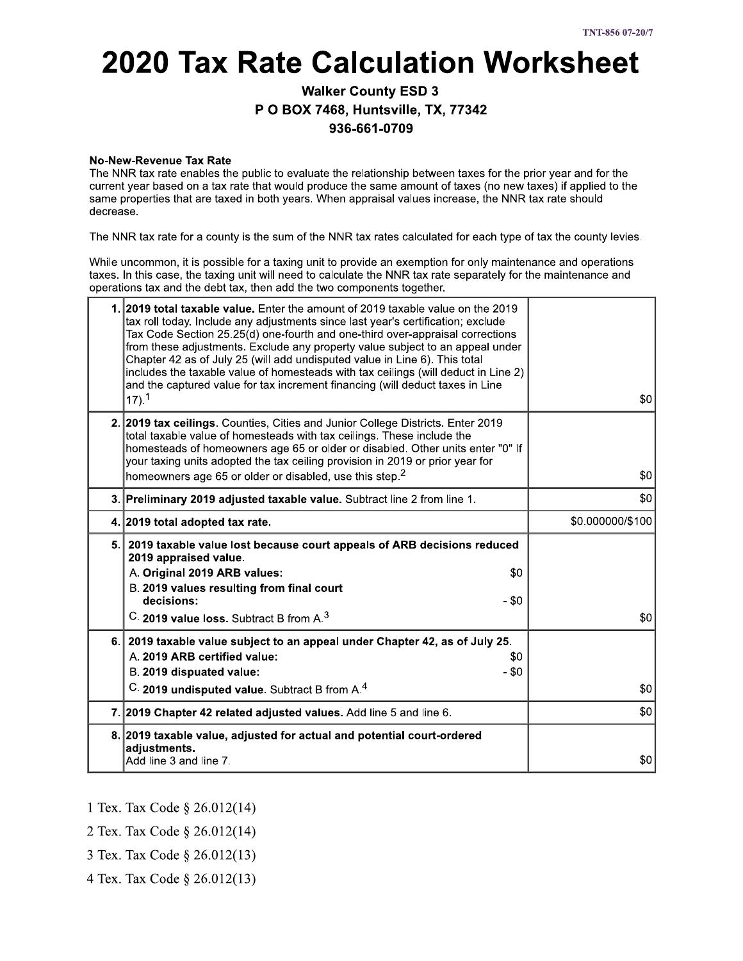# **2020 Tax Rate Calculation Worksheet**

### **Walker County ESD 3** P O BOX 7468, Huntsville, TX, 77342 936-661-0709

#### **No-New-Revenue Tax Rate**

The NNR tax rate enables the public to evaluate the relationship between taxes for the prior year and for the current year based on a tax rate that would produce the same amount of taxes (no new taxes) if applied to the same properties that are taxed in both years. When appraisal values increase, the NNR tax rate should decrease.

The NNR tax rate for a county is the sum of the NNR tax rates calculated for each type of tax the county levies.

While uncommon, it is possible for a taxing unit to provide an exemption for only maintenance and operations taxes. In this case, the taxing unit will need to calculate the NNR tax rate separately for the maintenance and operations tax and the debt tax, then add the two components together.

| 1. 2019 total taxable value. Enter the amount of 2019 taxable value on the 2019<br>tax roll today. Include any adjustments since last year's certification; exclude<br>Tax Code Section 25.25(d) one-fourth and one-third over-appraisal corrections<br>from these adjustments. Exclude any property value subject to an appeal under<br>Chapter 42 as of July 25 (will add undisputed value in Line 6). This total<br>includes the taxable value of homesteads with tax ceilings (will deduct in Line 2)<br>and the captured value for tax increment financing (will deduct taxes in Line<br>$17)$ , $1$ | \$0              |
|-----------------------------------------------------------------------------------------------------------------------------------------------------------------------------------------------------------------------------------------------------------------------------------------------------------------------------------------------------------------------------------------------------------------------------------------------------------------------------------------------------------------------------------------------------------------------------------------------------------|------------------|
| 2. 2019 tax ceilings. Counties, Cities and Junior College Districts. Enter 2019<br>total taxable value of homesteads with tax ceilings. These include the<br>homesteads of homeowners age 65 or older or disabled. Other units enter "0" If<br>your taxing units adopted the tax ceiling provision in 2019 or prior year for<br>homeowners age 65 or older or disabled, use this step. <sup>2</sup>                                                                                                                                                                                                       | \$0              |
| 3. Preliminary 2019 adjusted taxable value. Subtract line 2 from line 1.                                                                                                                                                                                                                                                                                                                                                                                                                                                                                                                                  | \$0              |
| 4. 2019 total adopted tax rate.                                                                                                                                                                                                                                                                                                                                                                                                                                                                                                                                                                           | \$0.000000/\$100 |
| 5. 2019 taxable value lost because court appeals of ARB decisions reduced<br>2019 appraised value.<br>A. Original 2019 ARB values:<br>\$0<br>B. 2019 values resulting from final court<br>decisions:<br>$-$ \$0<br>C. 2019 value loss. Subtract B from A. <sup>3</sup>                                                                                                                                                                                                                                                                                                                                    | \$0              |
| 6. 2019 taxable value subject to an appeal under Chapter 42, as of July 25.<br>A. 2019 ARB certified value:<br>\$0<br>$-$ \$0<br>B. 2019 dispuated value:<br>C. 2019 undisputed value. Subtract B from A. <sup>4</sup>                                                                                                                                                                                                                                                                                                                                                                                    | \$0              |
| 7. 2019 Chapter 42 related adjusted values. Add line 5 and line 6.                                                                                                                                                                                                                                                                                                                                                                                                                                                                                                                                        | \$0              |
| 8. 2019 taxable value, adjusted for actual and potential court-ordered<br>adjustments.<br>Add line 3 and line 7.                                                                                                                                                                                                                                                                                                                                                                                                                                                                                          | \$0              |

- 1 Tex. Tax Code § 26.012(14)
- 2 Tex. Tax Code § 26.012(14)
- 3 Tex. Tax Code § 26.012(13)
- 4 Tex. Tax Code § 26.012(13)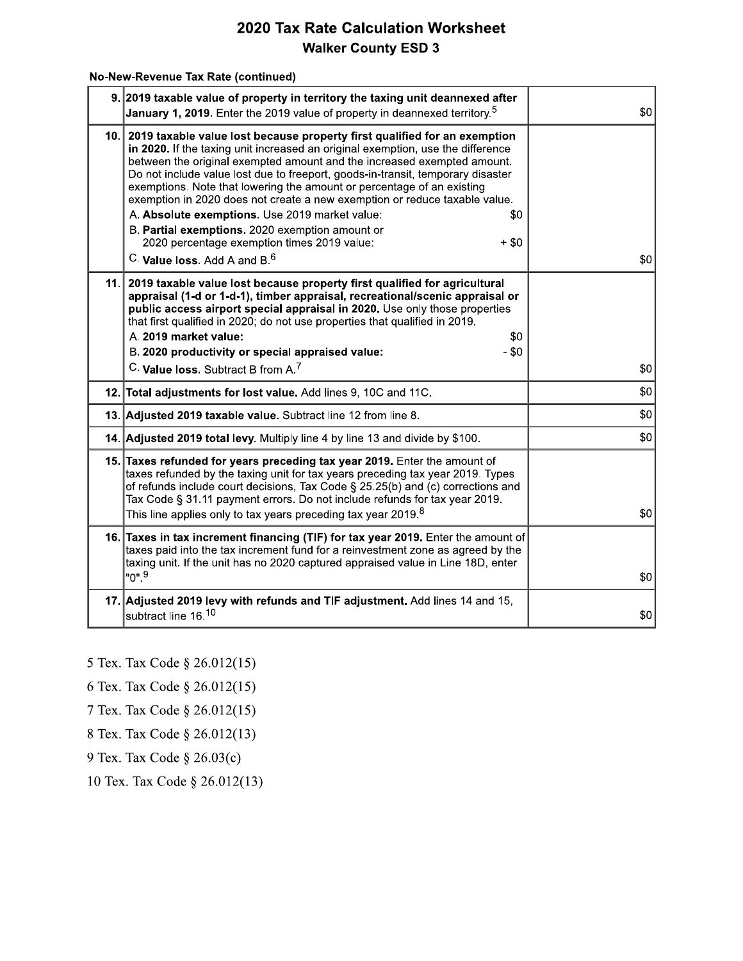#### No-New-Revenue Tax Rate (continued)

| 9. 2019 taxable value of property in territory the taxing unit deannexed after<br>January 1, 2019. Enter the 2019 value of property in deannexed territory. <sup>5</sup>                                                                                                                                                                                                                                                                                                                                                                                                                                                                                                                        | \$0 |
|-------------------------------------------------------------------------------------------------------------------------------------------------------------------------------------------------------------------------------------------------------------------------------------------------------------------------------------------------------------------------------------------------------------------------------------------------------------------------------------------------------------------------------------------------------------------------------------------------------------------------------------------------------------------------------------------------|-----|
| 10. 2019 taxable value lost because property first qualified for an exemption<br>in 2020. If the taxing unit increased an original exemption, use the difference<br>between the original exempted amount and the increased exempted amount.<br>Do not include value lost due to freeport, goods-in-transit, temporary disaster<br>exemptions. Note that lowering the amount or percentage of an existing<br>exemption in 2020 does not create a new exemption or reduce taxable value.<br>A. Absolute exemptions. Use 2019 market value:<br>\$0<br>B. Partial exemptions. 2020 exemption amount or<br>2020 percentage exemption times 2019 value:<br>$+ $0$<br>C. Value loss, Add A and B. $^6$ | \$0 |
| 11. 2019 taxable value lost because property first qualified for agricultural<br>appraisal (1-d or 1-d-1), timber appraisal, recreational/scenic appraisal or<br>public access airport special appraisal in 2020. Use only those properties<br>that first qualified in 2020; do not use properties that qualified in 2019.<br>A. 2019 market value:<br>\$0<br>B. 2020 productivity or special appraised value:<br>$- $0$<br>C. Value loss. Subtract B from A. <sup>7</sup>                                                                                                                                                                                                                      | \$0 |
| 12. Total adjustments for lost value. Add lines 9, 10C and 11C.                                                                                                                                                                                                                                                                                                                                                                                                                                                                                                                                                                                                                                 | \$0 |
| 13. Adjusted 2019 taxable value. Subtract line 12 from line 8.                                                                                                                                                                                                                                                                                                                                                                                                                                                                                                                                                                                                                                  | \$0 |
| 14. Adjusted 2019 total levy. Multiply line 4 by line 13 and divide by \$100.                                                                                                                                                                                                                                                                                                                                                                                                                                                                                                                                                                                                                   | \$0 |
| 15. Taxes refunded for years preceding tax year 2019. Enter the amount of<br>taxes refunded by the taxing unit for tax years preceding tax year 2019. Types<br>of refunds include court decisions, Tax Code § 25.25(b) and (c) corrections and<br>Tax Code § 31.11 payment errors. Do not include refunds for tax year 2019.<br>This line applies only to tax years preceding tax year 2019. $^8$                                                                                                                                                                                                                                                                                               | \$0 |
| 16. Taxes in tax increment financing (TIF) for tax year 2019. Enter the amount of<br>taxes paid into the tax increment fund for a reinvestment zone as agreed by the<br>taxing unit. If the unit has no 2020 captured appraised value in Line 18D, enter<br>"ט".                                                                                                                                                                                                                                                                                                                                                                                                                                | \$0 |
| 17. Adjusted 2019 levy with refunds and TIF adjustment. Add lines 14 and 15,<br>subtract line 16.10                                                                                                                                                                                                                                                                                                                                                                                                                                                                                                                                                                                             | \$0 |

<sup>5</sup> Tex. Tax Code § 26.012(15)

- 6 Tex. Tax Code § 26.012(15)
- 7 Tex. Tax Code § 26.012(15)
- 8 Tex. Tax Code § 26.012(13)
- 9 Tex. Tax Code § 26.03(c)
- 10 Tex. Tax Code § 26.012(13)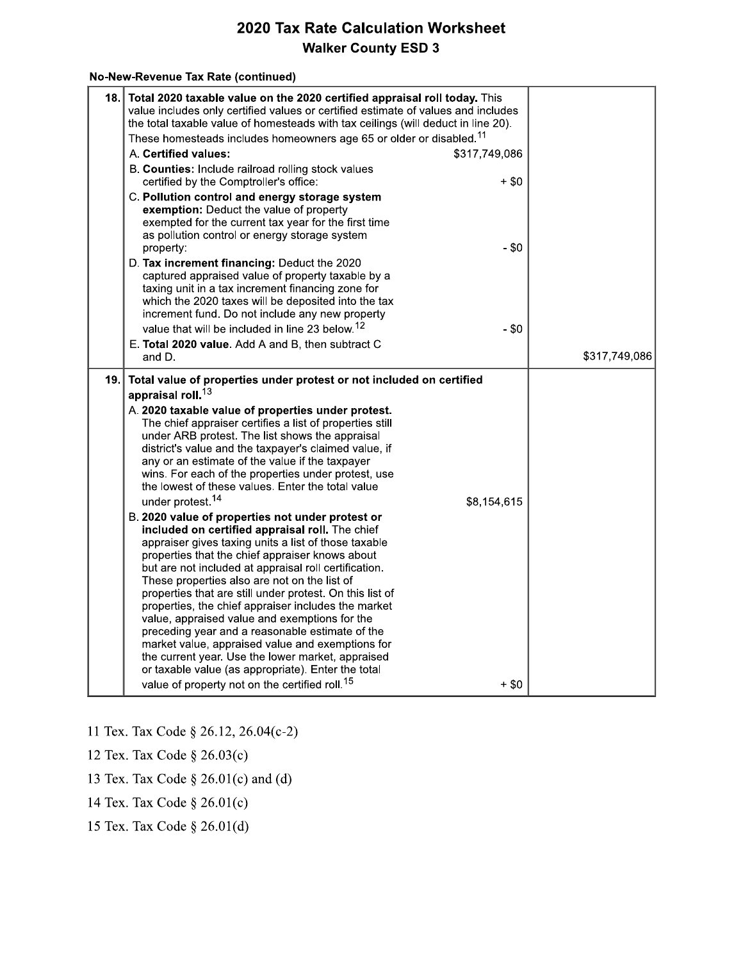#### No-New-Revenue Tax Rate (continued)

| 18. | Total 2020 taxable value on the 2020 certified appraisal roll today. This<br>value includes only certified values or certified estimate of values and includes<br>the total taxable value of homesteads with tax ceilings (will deduct in line 20).<br>These homesteads includes homeowners age 65 or older or disabled. <sup>11</sup>                                                                                                                                                                                                                                                                                                                                                                                                                                                                                                                                                                                                                                                                                                                                                                                                                                                                                                                                                                                                          |               |
|-----|-------------------------------------------------------------------------------------------------------------------------------------------------------------------------------------------------------------------------------------------------------------------------------------------------------------------------------------------------------------------------------------------------------------------------------------------------------------------------------------------------------------------------------------------------------------------------------------------------------------------------------------------------------------------------------------------------------------------------------------------------------------------------------------------------------------------------------------------------------------------------------------------------------------------------------------------------------------------------------------------------------------------------------------------------------------------------------------------------------------------------------------------------------------------------------------------------------------------------------------------------------------------------------------------------------------------------------------------------|---------------|
|     | A. Certified values:<br>\$317,749,086                                                                                                                                                                                                                                                                                                                                                                                                                                                                                                                                                                                                                                                                                                                                                                                                                                                                                                                                                                                                                                                                                                                                                                                                                                                                                                           |               |
|     | B. Counties: Include railroad rolling stock values<br>certified by the Comptroller's office:<br>+ \$0                                                                                                                                                                                                                                                                                                                                                                                                                                                                                                                                                                                                                                                                                                                                                                                                                                                                                                                                                                                                                                                                                                                                                                                                                                           |               |
|     | C. Pollution control and energy storage system<br>exemption: Deduct the value of property<br>exempted for the current tax year for the first time<br>as pollution control or energy storage system<br>$- $0$<br>property:                                                                                                                                                                                                                                                                                                                                                                                                                                                                                                                                                                                                                                                                                                                                                                                                                                                                                                                                                                                                                                                                                                                       |               |
|     | D. Tax increment financing: Deduct the 2020<br>captured appraised value of property taxable by a<br>taxing unit in a tax increment financing zone for<br>which the 2020 taxes will be deposited into the tax<br>increment fund. Do not include any new property<br>value that will be included in line 23 below. <sup>12</sup><br>$-$ \$0                                                                                                                                                                                                                                                                                                                                                                                                                                                                                                                                                                                                                                                                                                                                                                                                                                                                                                                                                                                                       |               |
|     | E. Total 2020 value. Add A and B, then subtract C<br>and D.                                                                                                                                                                                                                                                                                                                                                                                                                                                                                                                                                                                                                                                                                                                                                                                                                                                                                                                                                                                                                                                                                                                                                                                                                                                                                     | \$317,749,086 |
|     | 19. Total value of properties under protest or not included on certified<br>appraisal roll. <sup>13</sup><br>A. 2020 taxable value of properties under protest.<br>The chief appraiser certifies a list of properties still<br>under ARB protest. The list shows the appraisal<br>district's value and the taxpayer's claimed value, if<br>any or an estimate of the value if the taxpayer<br>wins. For each of the properties under protest, use<br>the lowest of these values. Enter the total value<br>under protest. <sup>14</sup><br>\$8,154,615<br>B. 2020 value of properties not under protest or<br>included on certified appraisal roll. The chief<br>appraiser gives taxing units a list of those taxable<br>properties that the chief appraiser knows about<br>but are not included at appraisal roll certification.<br>These properties also are not on the list of<br>properties that are still under protest. On this list of<br>properties, the chief appraiser includes the market<br>value, appraised value and exemptions for the<br>preceding year and a reasonable estimate of the<br>market value, appraised value and exemptions for<br>the current year. Use the lower market, appraised<br>or taxable value (as appropriate). Enter the total<br>value of property not on the certified roll. <sup>15</sup><br>$+$ \$0 |               |

- 11 Tex. Tax Code § 26.12, 26.04(c-2)
- 12 Tex. Tax Code § 26.03(c)
- 13 Tex. Tax Code  $\S$  26.01(c) and (d)
- 14 Tex. Tax Code § 26.01(c)
- 15 Tex. Tax Code § 26.01(d)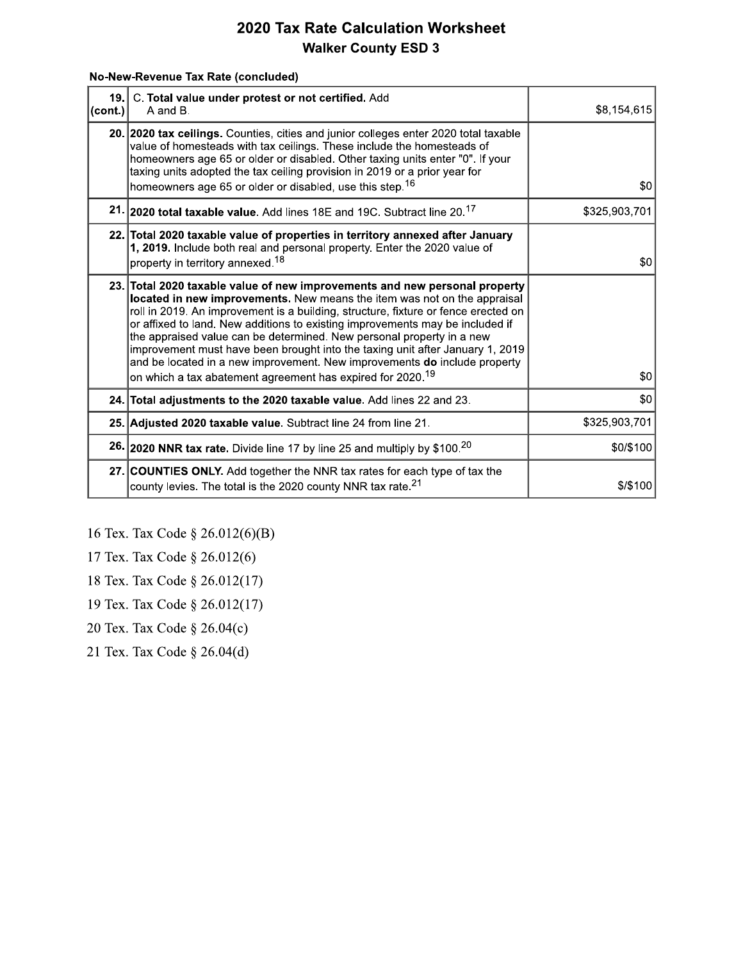#### No-New-Revenue Tax Rate (concluded)

| 19.1<br>∣(cont.)∣ | C. Total value under protest or not certified. Add<br>A and B.                                                                                                                                                                                                                                                                                                                                                                                                                                                                                                                                                                                 | \$8,154,615   |
|-------------------|------------------------------------------------------------------------------------------------------------------------------------------------------------------------------------------------------------------------------------------------------------------------------------------------------------------------------------------------------------------------------------------------------------------------------------------------------------------------------------------------------------------------------------------------------------------------------------------------------------------------------------------------|---------------|
|                   | 20. 2020 tax ceilings. Counties, cities and junior colleges enter 2020 total taxable<br>value of homesteads with tax ceilings. These include the homesteads of<br>homeowners age 65 or older or disabled. Other taxing units enter "0". If your<br>taxing units adopted the tax ceiling provision in 2019 or a prior year for                                                                                                                                                                                                                                                                                                                  | \$0           |
|                   | homeowners age 65 or older or disabled, use this step. <sup>16</sup>                                                                                                                                                                                                                                                                                                                                                                                                                                                                                                                                                                           |               |
|                   | 21. 2020 total taxable value. Add lines 18E and 19C. Subtract line 20. <sup>17</sup>                                                                                                                                                                                                                                                                                                                                                                                                                                                                                                                                                           | \$325,903,701 |
|                   | 22. Total 2020 taxable value of properties in territory annexed after January<br>1, 2019. Include both real and personal property. Enter the 2020 value of<br>property in territory annexed. <sup>18</sup>                                                                                                                                                                                                                                                                                                                                                                                                                                     | \$0           |
|                   | 23. Total 2020 taxable value of new improvements and new personal property<br>located in new improvements. New means the item was not on the appraisal<br>roll in 2019. An improvement is a building, structure, fixture or fence erected on<br>or affixed to land. New additions to existing improvements may be included if<br>the appraised value can be determined. New personal property in a new<br>improvement must have been brought into the taxing unit after January 1, 2019<br>and be located in a new improvement. New improvements do include property<br>on which a tax abatement agreement has expired for 2020. <sup>19</sup> | 30            |
|                   | 24. Total adjustments to the 2020 taxable value. Add lines 22 and 23.                                                                                                                                                                                                                                                                                                                                                                                                                                                                                                                                                                          | \$0           |
|                   | 25. Adjusted 2020 taxable value. Subtract line 24 from line 21.                                                                                                                                                                                                                                                                                                                                                                                                                                                                                                                                                                                | \$325,903,701 |
|                   | <b>26. 2020 NNR tax rate.</b> Divide line 17 by line 25 and multiply by \$100. <sup>20</sup>                                                                                                                                                                                                                                                                                                                                                                                                                                                                                                                                                   | \$0/\$100     |
|                   | 27. COUNTIES ONLY. Add together the NNR tax rates for each type of tax the<br>county levies. The total is the 2020 county NNR tax rate. <sup>21</sup>                                                                                                                                                                                                                                                                                                                                                                                                                                                                                          | \$/\$100      |

16 Tex. Tax Code § 26.012(6)(B)

17 Tex. Tax Code § 26.012(6)

18 Tex. Tax Code § 26.012(17)

19 Tex. Tax Code § 26.012(17)

20 Tex. Tax Code § 26.04(c)

21 Tex. Tax Code § 26.04(d)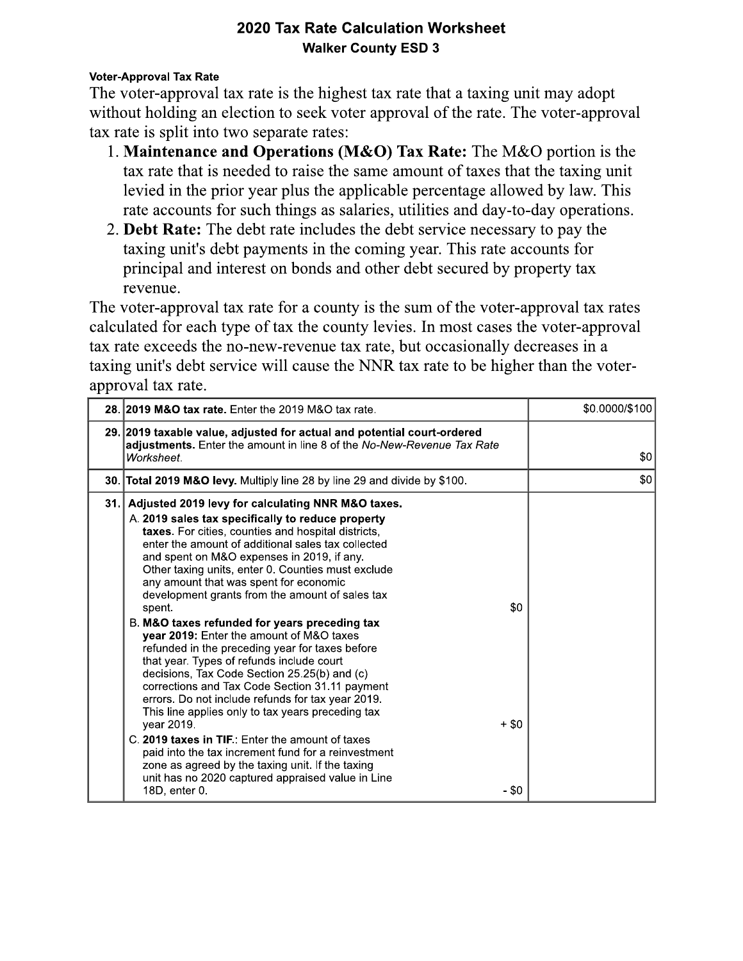#### **Voter-Approval Tax Rate**

The voter-approval tax rate is the highest tax rate that a taxing unit may adopt without holding an election to seek voter approval of the rate. The voter-approval tax rate is split into two separate rates:

- 1. Maintenance and Operations (M&O) Tax Rate: The M&O portion is the tax rate that is needed to raise the same amount of taxes that the taxing unit levied in the prior year plus the applicable percentage allowed by law. This rate accounts for such things as salaries, utilities and day-to-day operations.
- 2. Debt Rate: The debt rate includes the debt service necessary to pay the taxing unit's debt payments in the coming year. This rate accounts for principal and interest on bonds and other debt secured by property tax revenue.

The voter-approval tax rate for a county is the sum of the voter-approval tax rates calculated for each type of tax the county levies. In most cases the voter-approval tax rate exceeds the no-new-revenue tax rate, but occasionally decreases in a taxing unit's debt service will cause the NNR tax rate to be higher than the voterapproval tax rate.

| 28. 2019 M&O tax rate. Enter the 2019 M&O tax rate.                                                                                                                                                                                                                                                                                                                                                                                                                                                                                                                                                                                                                                                                                                                                                                                                                                                                                                                                                                                                                                                                       | \$0.0000/\$100 |
|---------------------------------------------------------------------------------------------------------------------------------------------------------------------------------------------------------------------------------------------------------------------------------------------------------------------------------------------------------------------------------------------------------------------------------------------------------------------------------------------------------------------------------------------------------------------------------------------------------------------------------------------------------------------------------------------------------------------------------------------------------------------------------------------------------------------------------------------------------------------------------------------------------------------------------------------------------------------------------------------------------------------------------------------------------------------------------------------------------------------------|----------------|
| 29. 2019 taxable value, adjusted for actual and potential court-ordered<br>adjustments. Enter the amount in line 8 of the No-New-Revenue Tax Rate<br>Worksheet.                                                                                                                                                                                                                                                                                                                                                                                                                                                                                                                                                                                                                                                                                                                                                                                                                                                                                                                                                           | \$0            |
| 30. Total 2019 M&O levy. Multiply line 28 by line 29 and divide by \$100.                                                                                                                                                                                                                                                                                                                                                                                                                                                                                                                                                                                                                                                                                                                                                                                                                                                                                                                                                                                                                                                 | \$0            |
| 31. Adjusted 2019 levy for calculating NNR M&O taxes.<br>A. 2019 sales tax specifically to reduce property<br>taxes. For cities, counties and hospital districts,<br>enter the amount of additional sales tax collected<br>and spent on M&O expenses in 2019, if any.<br>Other taxing units, enter 0. Counties must exclude<br>any amount that was spent for economic<br>development grants from the amount of sales tax<br>\$0<br>spent.<br>B. M&O taxes refunded for years preceding tax<br>year 2019: Enter the amount of M&O taxes<br>refunded in the preceding year for taxes before<br>that year. Types of refunds include court<br>decisions, Tax Code Section 25.25(b) and (c)<br>corrections and Tax Code Section 31.11 payment<br>errors. Do not include refunds for tax year 2019.<br>This line applies only to tax years preceding tax<br>$+$ \$0<br>year 2019.<br>C. 2019 taxes in TIF.: Enter the amount of taxes<br>paid into the tax increment fund for a reinvestment<br>zone as agreed by the taxing unit. If the taxing<br>unit has no 2020 captured appraised value in Line<br>- \$0<br>18D, enter 0. |                |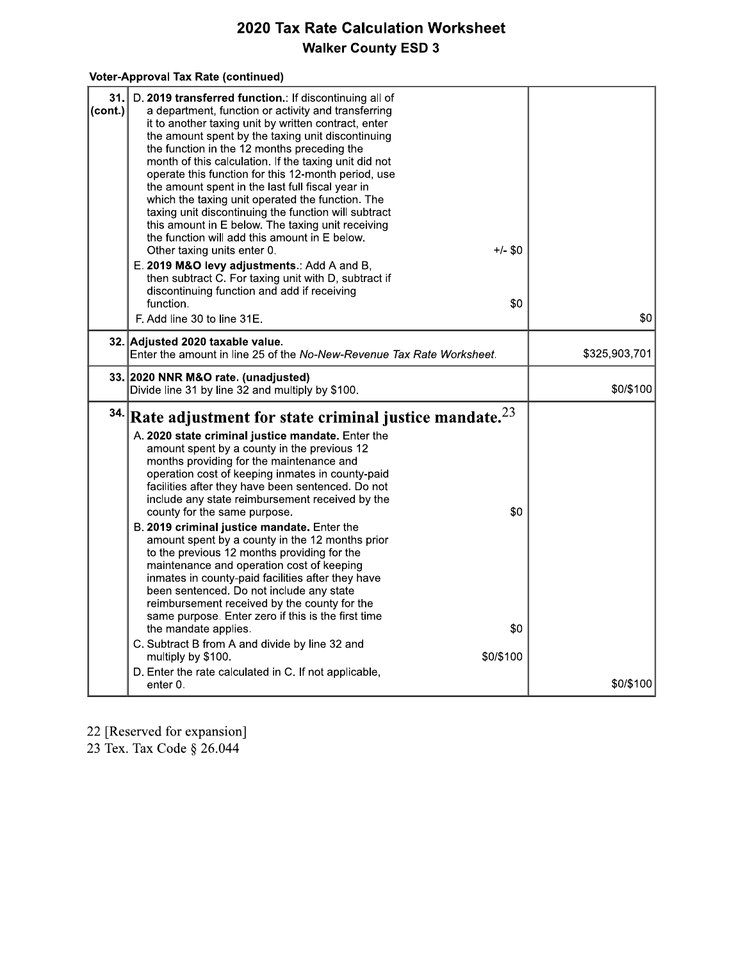### Voter-Approval Tax Rate (continued)

| 31.<br>(cont.) | D. 2019 transferred function.: If discontinuing all of<br>a department, function or activity and transferring<br>it to another taxing unit by written contract, enter<br>the amount spent by the taxing unit discontinuing<br>the function in the 12 months preceding the<br>month of this calculation. If the taxing unit did not<br>operate this function for this 12-month period, use<br>the amount spent in the last full fiscal year in<br>which the taxing unit operated the function. The<br>taxing unit discontinuing the function will subtract<br>this amount in E below. The taxing unit receiving<br>the function will add this amount in E below.<br>$+/-$ \$0<br>Other taxing units enter 0.<br>E. 2019 M&O levy adjustments.: Add A and B,<br>then subtract C. For taxing unit with D, subtract if<br>discontinuing function and add if receiving<br>function.<br>\$0<br>F. Add line 30 to line 31E.                                                                             | \$0           |
|----------------|--------------------------------------------------------------------------------------------------------------------------------------------------------------------------------------------------------------------------------------------------------------------------------------------------------------------------------------------------------------------------------------------------------------------------------------------------------------------------------------------------------------------------------------------------------------------------------------------------------------------------------------------------------------------------------------------------------------------------------------------------------------------------------------------------------------------------------------------------------------------------------------------------------------------------------------------------------------------------------------------------|---------------|
|                | 32. Adjusted 2020 taxable value.<br>Enter the amount in line 25 of the No-New-Revenue Tax Rate Worksheet.                                                                                                                                                                                                                                                                                                                                                                                                                                                                                                                                                                                                                                                                                                                                                                                                                                                                                        | \$325,903,701 |
|                | 33. 2020 NNR M&O rate. (unadjusted)<br>Divide line 31 by line 32 and multiply by \$100.                                                                                                                                                                                                                                                                                                                                                                                                                                                                                                                                                                                                                                                                                                                                                                                                                                                                                                          | \$0/\$100     |
| 34.            | Rate adjustment for state criminal justice mandate. $^{23}$<br>A. 2020 state criminal justice mandate. Enter the<br>amount spent by a county in the previous 12<br>months providing for the maintenance and<br>operation cost of keeping inmates in county-paid<br>facilities after they have been sentenced. Do not<br>include any state reimbursement received by the<br>\$0<br>county for the same purpose.<br>B. 2019 criminal justice mandate. Enter the<br>amount spent by a county in the 12 months prior<br>to the previous 12 months providing for the<br>maintenance and operation cost of keeping<br>inmates in county-paid facilities after they have<br>been sentenced. Do not include any state<br>reimbursement received by the county for the<br>same purpose. Enter zero if this is the first time<br>\$0<br>the mandate applies.<br>C. Subtract B from A and divide by line 32 and<br>\$0/\$100<br>multiply by \$100.<br>D. Enter the rate calculated in C. If not applicable, |               |
|                | enter 0.                                                                                                                                                                                                                                                                                                                                                                                                                                                                                                                                                                                                                                                                                                                                                                                                                                                                                                                                                                                         | \$0/\$100     |

22 [Reserved for expansion]<br>23 Tex. Tax Code § 26.044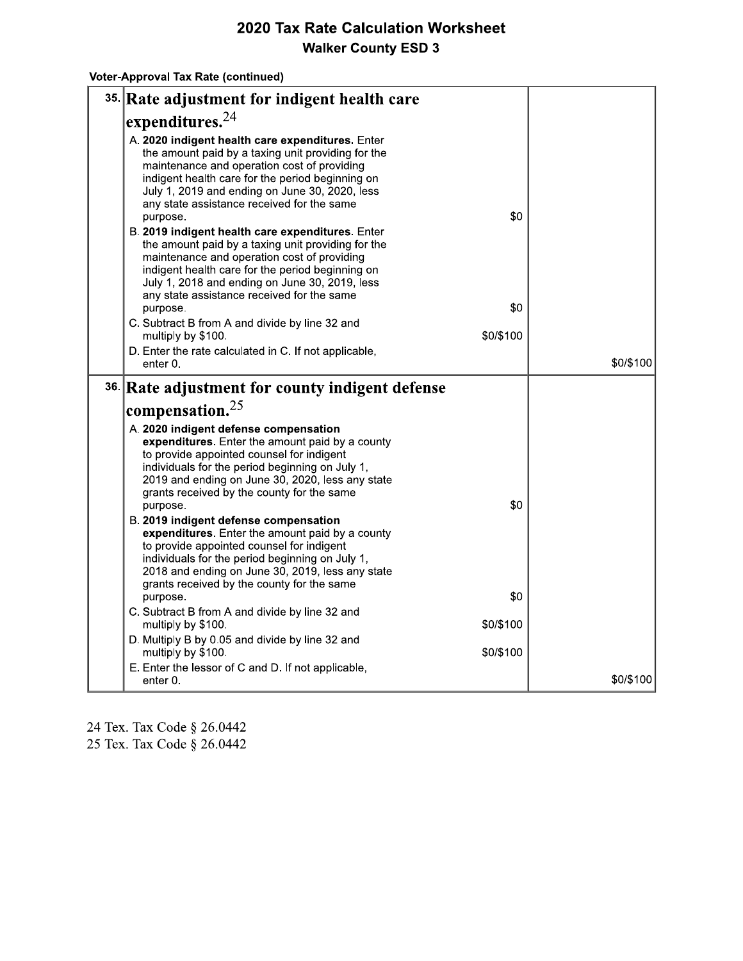Voter-Approval Tax Rate (continued)

| 35. Rate adjustment for indigent health care                                                                                                                                                                                                                                                                          |           |           |
|-----------------------------------------------------------------------------------------------------------------------------------------------------------------------------------------------------------------------------------------------------------------------------------------------------------------------|-----------|-----------|
| expenditures. $24$                                                                                                                                                                                                                                                                                                    |           |           |
| A. 2020 indigent health care expenditures. Enter<br>the amount paid by a taxing unit providing for the<br>maintenance and operation cost of providing<br>indigent health care for the period beginning on<br>July 1, 2019 and ending on June 30, 2020, less<br>any state assistance received for the same<br>purpose. | \$0       |           |
| B. 2019 indigent health care expenditures. Enter<br>the amount paid by a taxing unit providing for the<br>maintenance and operation cost of providing<br>indigent health care for the period beginning on<br>July 1, 2018 and ending on June 30, 2019, less<br>any state assistance received for the same<br>purpose. | \$0       |           |
| C. Subtract B from A and divide by line 32 and                                                                                                                                                                                                                                                                        |           |           |
| multiply by \$100.                                                                                                                                                                                                                                                                                                    | \$0/\$100 |           |
| D. Enter the rate calculated in C. If not applicable,<br>enter 0.                                                                                                                                                                                                                                                     |           | \$0/\$100 |
| 36. Rate adjustment for county indigent defense                                                                                                                                                                                                                                                                       |           |           |
| compensation. $25$                                                                                                                                                                                                                                                                                                    |           |           |
| A. 2020 indigent defense compensation<br>expenditures. Enter the amount paid by a county<br>to provide appointed counsel for indigent<br>individuals for the period beginning on July 1,<br>2019 and ending on June 30, 2020, less any state<br>grants received by the county for the same                            |           |           |
| purpose.                                                                                                                                                                                                                                                                                                              | \$0       |           |
| B. 2019 indigent defense compensation<br>expenditures. Enter the amount paid by a county<br>to provide appointed counsel for indigent<br>individuals for the period beginning on July 1,<br>2018 and ending on June 30, 2019, less any state<br>grants received by the county for the same                            |           |           |
| purpose.                                                                                                                                                                                                                                                                                                              | \$0       |           |
| C. Subtract B from A and divide by line 32 and<br>multiply by \$100.                                                                                                                                                                                                                                                  | \$0/\$100 |           |
| D. Multiply B by 0.05 and divide by line 32 and<br>multiply by \$100.                                                                                                                                                                                                                                                 | \$0/\$100 |           |
| E. Enter the lessor of C and D. If not applicable,<br>enter 0.                                                                                                                                                                                                                                                        |           | \$0/\$100 |

24 Tex. Tax Code § 26.0442

25 Tex. Tax Code § 26.0442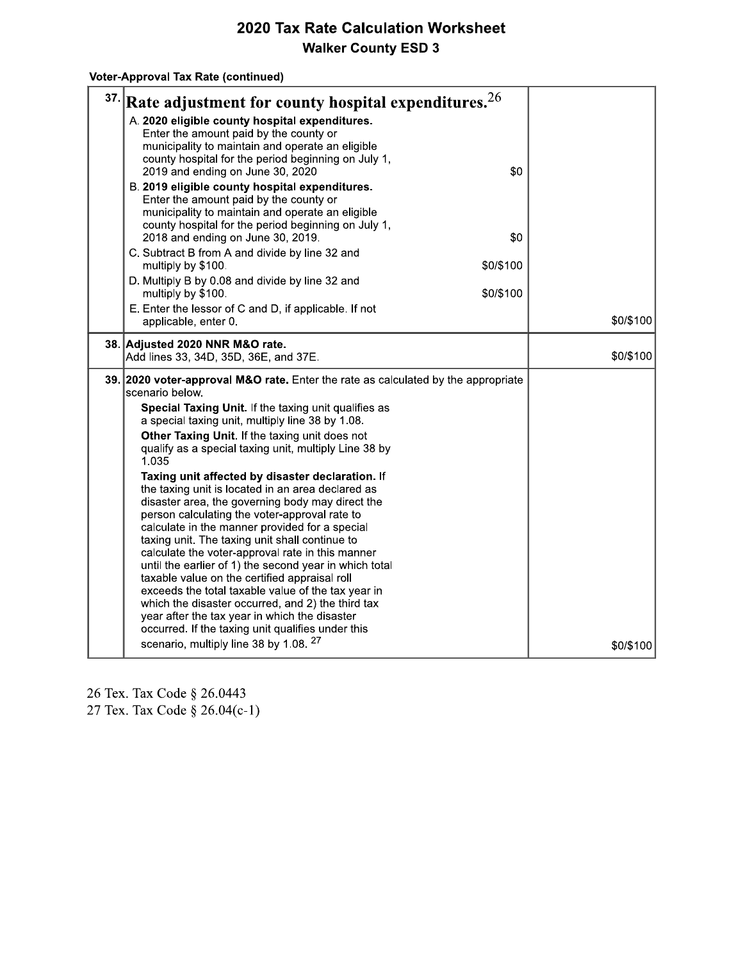### Voter-Approval Tax Rate (continued)

| 37. | Rate adjustment for county hospital expenditures. $26$                                                                                                                                                                                                                                                                                                             |           |
|-----|--------------------------------------------------------------------------------------------------------------------------------------------------------------------------------------------------------------------------------------------------------------------------------------------------------------------------------------------------------------------|-----------|
|     | A. 2020 eligible county hospital expenditures.<br>Enter the amount paid by the county or<br>municipality to maintain and operate an eligible<br>county hospital for the period beginning on July 1,<br>\$0<br>2019 and ending on June 30, 2020<br>B. 2019 eligible county hospital expenditures.                                                                   |           |
|     | Enter the amount paid by the county or<br>municipality to maintain and operate an eligible<br>county hospital for the period beginning on July 1,<br>\$0<br>2018 and ending on June 30, 2019.                                                                                                                                                                      |           |
|     | C. Subtract B from A and divide by line 32 and<br>\$0/\$100<br>multiply by \$100.                                                                                                                                                                                                                                                                                  |           |
|     | D. Multiply B by 0.08 and divide by line 32 and<br>\$0/\$100<br>multiply by \$100.                                                                                                                                                                                                                                                                                 |           |
|     | E. Enter the lessor of C and D, if applicable. If not<br>applicable, enter 0.                                                                                                                                                                                                                                                                                      | \$0/\$100 |
|     | 38. Adjusted 2020 NNR M&O rate.<br>Add lines 33, 34D, 35D, 36E, and 37E.                                                                                                                                                                                                                                                                                           | \$0/\$100 |
|     | 39. 2020 voter-approval M&O rate. Enter the rate as calculated by the appropriate<br>scenario below.                                                                                                                                                                                                                                                               |           |
|     | Special Taxing Unit. If the taxing unit qualifies as<br>a special taxing unit, multiply line 38 by 1.08.                                                                                                                                                                                                                                                           |           |
|     | Other Taxing Unit. If the taxing unit does not<br>qualify as a special taxing unit, multiply Line 38 by<br>1.035                                                                                                                                                                                                                                                   |           |
|     | Taxing unit affected by disaster declaration. If<br>the taxing unit is located in an area declared as<br>disaster area, the governing body may direct the<br>person calculating the voter-approval rate to<br>calculate in the manner provided for a special<br>taxing unit. The taxing unit shall continue to<br>calculate the voter-approval rate in this manner |           |
|     | until the earlier of 1) the second year in which total<br>taxable value on the certified appraisal roll<br>exceeds the total taxable value of the tax year in<br>which the disaster occurred, and 2) the third tax<br>year after the tax year in which the disaster<br>occurred. If the taxing unit qualifies under this                                           |           |
|     | scenario, multiply line 38 by 1.08. 27                                                                                                                                                                                                                                                                                                                             | \$0/\$100 |

26 Tex. Tax Code § 26.0443<br>27 Tex. Tax Code § 26.04(c-1)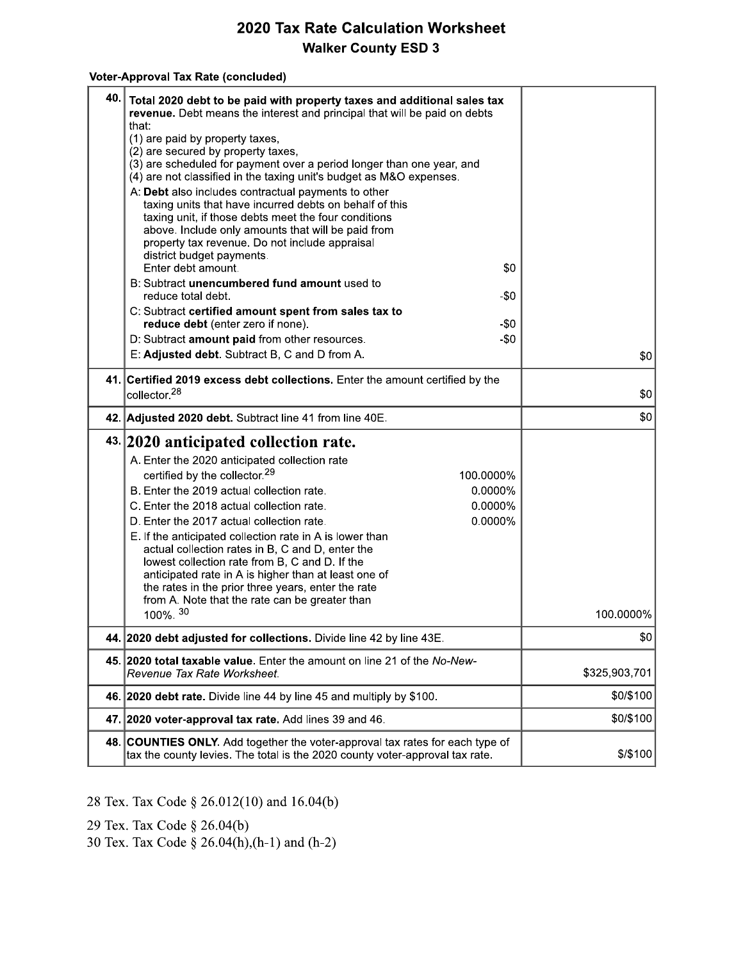#### Voter-Approval Tax Rate (concluded)

| 40. | Total 2020 debt to be paid with property taxes and additional sales tax<br>revenue. Debt means the interest and principal that will be paid on debts<br>that:<br>(1) are paid by property taxes,<br>(2) are secured by property taxes,<br>(3) are scheduled for payment over a period longer than one year, and<br>(4) are not classified in the taxing unit's budget as M&O expenses.<br>A: Debt also includes contractual payments to other<br>taxing units that have incurred debts on behalf of this<br>taxing unit, if those debts meet the four conditions<br>above. Include only amounts that will be paid from<br>property tax revenue. Do not include appraisal<br>district budget payments.<br>\$0<br>Enter debt amount.<br>B: Subtract unencumbered fund amount used to<br>reduce total debt.<br>-\$0<br>C: Subtract certified amount spent from sales tax to<br>reduce debt (enter zero if none).<br>-\$0<br>D: Subtract amount paid from other resources.<br>$-50$<br>E: Adjusted debt. Subtract B, C and D from A.<br>41. Certified 2019 excess debt collections. Enter the amount certified by the | \$0           |
|-----|-------------------------------------------------------------------------------------------------------------------------------------------------------------------------------------------------------------------------------------------------------------------------------------------------------------------------------------------------------------------------------------------------------------------------------------------------------------------------------------------------------------------------------------------------------------------------------------------------------------------------------------------------------------------------------------------------------------------------------------------------------------------------------------------------------------------------------------------------------------------------------------------------------------------------------------------------------------------------------------------------------------------------------------------------------------------------------------------------------------------|---------------|
|     | collector. <sup>28</sup>                                                                                                                                                                                                                                                                                                                                                                                                                                                                                                                                                                                                                                                                                                                                                                                                                                                                                                                                                                                                                                                                                          | \$0           |
|     | 42. Adjusted 2020 debt. Subtract line 41 from line 40E.                                                                                                                                                                                                                                                                                                                                                                                                                                                                                                                                                                                                                                                                                                                                                                                                                                                                                                                                                                                                                                                           | \$0           |
|     | 43. 2020 anticipated collection rate.<br>A. Enter the 2020 anticipated collection rate<br>certified by the collector. <sup>29</sup><br>100.0000%<br>B. Enter the 2019 actual collection rate.<br>0.0000%<br>C. Enter the 2018 actual collection rate.<br>0.0000%<br>0.0000%<br>D. Enter the 2017 actual collection rate.<br>E. If the anticipated collection rate in A is lower than<br>actual collection rates in B, C and D, enter the<br>lowest collection rate from B, C and D. If the<br>anticipated rate in A is higher than at least one of<br>the rates in the prior three years, enter the rate<br>from A. Note that the rate can be greater than<br>100%. <sup>30</sup>                                                                                                                                                                                                                                                                                                                                                                                                                                 | 100.0000%     |
|     | 44. 2020 debt adjusted for collections. Divide line 42 by line 43E.                                                                                                                                                                                                                                                                                                                                                                                                                                                                                                                                                                                                                                                                                                                                                                                                                                                                                                                                                                                                                                               | \$0           |
|     | 45. 2020 total taxable value. Enter the amount on line 21 of the No-New-<br>Revenue Tax Rate Worksheet.                                                                                                                                                                                                                                                                                                                                                                                                                                                                                                                                                                                                                                                                                                                                                                                                                                                                                                                                                                                                           | \$325,903,701 |
|     | 46. 2020 debt rate. Divide line 44 by line 45 and multiply by \$100.                                                                                                                                                                                                                                                                                                                                                                                                                                                                                                                                                                                                                                                                                                                                                                                                                                                                                                                                                                                                                                              | \$0/\$100     |
| 47. | 2020 voter-approval tax rate. Add lines 39 and 46.                                                                                                                                                                                                                                                                                                                                                                                                                                                                                                                                                                                                                                                                                                                                                                                                                                                                                                                                                                                                                                                                | \$0/\$100     |
| 48. | <b>COUNTIES ONLY.</b> Add together the voter-approval tax rates for each type of<br>tax the county levies. The total is the 2020 county voter-approval tax rate.                                                                                                                                                                                                                                                                                                                                                                                                                                                                                                                                                                                                                                                                                                                                                                                                                                                                                                                                                  | \$/\$100      |

28 Tex. Tax Code § 26.012(10) and 16.04(b)

29 Tex. Tax Code § 26.04(b)

30 Tex. Tax Code § 26.04(h),(h-1) and (h-2)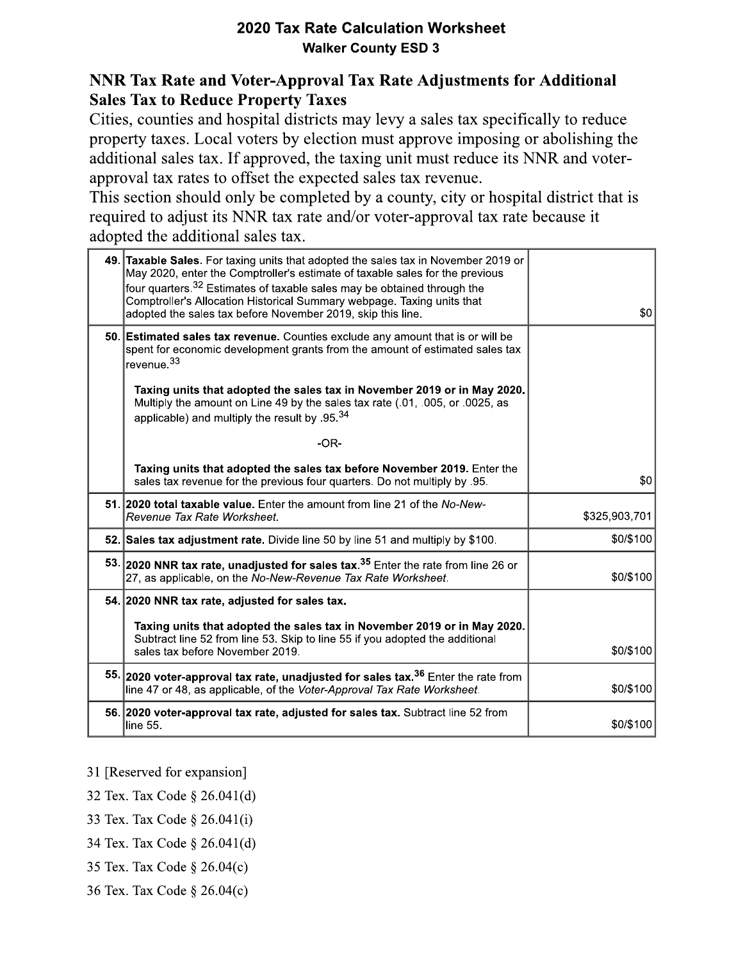## NNR Tax Rate and Voter-Approval Tax Rate Adjustments for Additional **Sales Tax to Reduce Property Taxes**

Cities, counties and hospital districts may levy a sales tax specifically to reduce property taxes. Local voters by election must approve imposing or abolishing the additional sales tax. If approved, the taxing unit must reduce its NNR and voterapproval tax rates to offset the expected sales tax revenue.

This section should only be completed by a county, city or hospital district that is required to adjust its NNR tax rate and/or voter-approval tax rate because it adopted the additional sales tax.

| 49. Taxable Sales. For taxing units that adopted the sales tax in November 2019 or<br>May 2020, enter the Comptroller's estimate of taxable sales for the previous<br>four quarters. <sup>32</sup> Estimates of taxable sales may be obtained through the<br>Comptroller's Allocation Historical Summary webpage. Taxing units that<br>adopted the sales tax before November 2019, skip this line. | \$0           |
|----------------------------------------------------------------------------------------------------------------------------------------------------------------------------------------------------------------------------------------------------------------------------------------------------------------------------------------------------------------------------------------------------|---------------|
| 50. Estimated sales tax revenue. Counties exclude any amount that is or will be<br>spent for economic development grants from the amount of estimated sales tax<br>revenue. <sup>33</sup>                                                                                                                                                                                                          |               |
| Taxing units that adopted the sales tax in November 2019 or in May 2020.<br>Multiply the amount on Line 49 by the sales tax rate (.01, .005, or .0025, as<br>applicable) and multiply the result by .95. $34$                                                                                                                                                                                      |               |
| $-OR-$                                                                                                                                                                                                                                                                                                                                                                                             |               |
| Taxing units that adopted the sales tax before November 2019. Enter the<br>sales tax revenue for the previous four quarters. Do not multiply by .95.                                                                                                                                                                                                                                               | \$0           |
| 51. 2020 total taxable value. Enter the amount from line 21 of the No-New-<br>Revenue Tax Rate Worksheet.                                                                                                                                                                                                                                                                                          | \$325,903,701 |
| 52. Sales tax adjustment rate. Divide line 50 by line 51 and multiply by \$100.                                                                                                                                                                                                                                                                                                                    | \$0/\$100     |
| 53. 2020 NNR tax rate, unadjusted for sales tax. <sup>35</sup> Enter the rate from line 26 or<br>27, as applicable, on the No-New-Revenue Tax Rate Worksheet.                                                                                                                                                                                                                                      | \$0/\$100     |
| 54. 2020 NNR tax rate, adjusted for sales tax.                                                                                                                                                                                                                                                                                                                                                     |               |
| Taxing units that adopted the sales tax in November 2019 or in May 2020.<br>Subtract line 52 from line 53. Skip to line 55 if you adopted the additional<br>sales tax before November 2019.                                                                                                                                                                                                        | \$0/\$100     |
| 55. 2020 voter-approval tax rate, unadjusted for sales tax. <sup>36</sup> Enter the rate from<br>line 47 or 48, as applicable, of the Voter-Approval Tax Rate Worksheet.                                                                                                                                                                                                                           | \$0/\$100     |
| 56. 2020 voter-approval tax rate, adjusted for sales tax. Subtract line 52 from<br>line 55.                                                                                                                                                                                                                                                                                                        | \$0/\$100     |

- 31 [Reserved for expansion]
- 32 Tex. Tax Code § 26.041(d)
- 33 Tex. Tax Code § 26.041(i)
- 34 Tex. Tax Code § 26.041(d)
- 35 Tex. Tax Code § 26.04(c)
- 36 Tex. Tax Code § 26.04(c)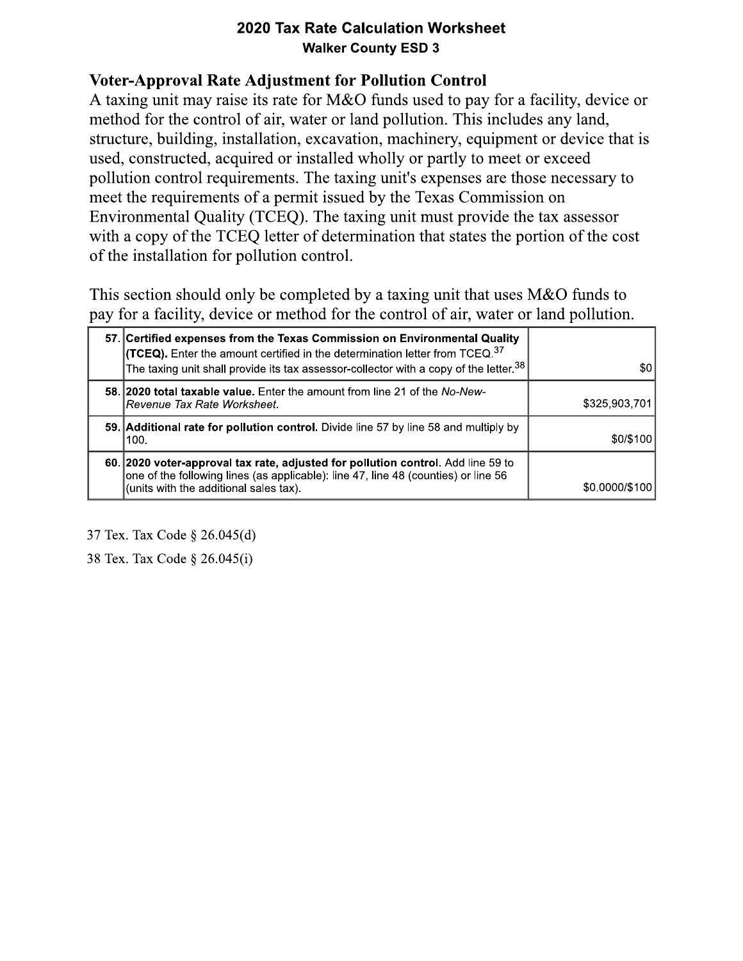**2020 Tax Rate Calculation Workshee**<br> **Walker County ESD 3**<br> **Voter-Approval Rate Adjustment for Pollution Control**<br>
A taxing unit may raise its rate for M&O funds used to pay f<br>
method for the control of air, water or lan A taxing unit may raise its rate for M&O funds used to pay for a facility, device or method for the control of air, water or land pollution. This includes any land, structure, building, installation, excavation, machinery, equipment or device that is used, constructed, acquired or installed wholly or partly to meet or exceed pollution control requirements. The taxing unit's expenses are those necessary to meet the requirements of a permit issued by the Texas Commission on Environmental Quality (TCEQ). The taxing unit must provide the tax assessor with a copy of the TCEO letter of determination that states the portion of the cost of the installation for pollution control.

This section should only be completed by a taxing unit that uses M&O funds to pay for a facility, device or method for the control of air, water or land pollution.

| 57. Certified expenses from the Texas Commission on Environmental Quality<br><b>(TCEQ).</b> Enter the amount certified in the determination letter from TCEQ. <sup>37</sup><br>The taxing unit shall provide its tax assessor-collector with a copy of the letter. <sup>38</sup> | \$0            |
|----------------------------------------------------------------------------------------------------------------------------------------------------------------------------------------------------------------------------------------------------------------------------------|----------------|
| 58. 2020 total taxable value. Enter the amount from line 21 of the No-New-<br> Revenue Tax Rate Worksheet.                                                                                                                                                                       | \$325,903.701  |
| 59. Additional rate for pollution control. Divide line 57 by line 58 and multiply by<br>100.                                                                                                                                                                                     | \$0/\$100      |
| 60. 2020 voter-approval tax rate, adjusted for pollution control. Add line 59 to<br>one of the following lines (as applicable): line 47, line 48 (counties) or line 56<br>(units with the additional sales tax).                                                                 | \$0.0000/\$100 |

37 Tex. Tax Code  $\S 26.045(d)$ 

38 Tex. Tax Code § 26.045(i)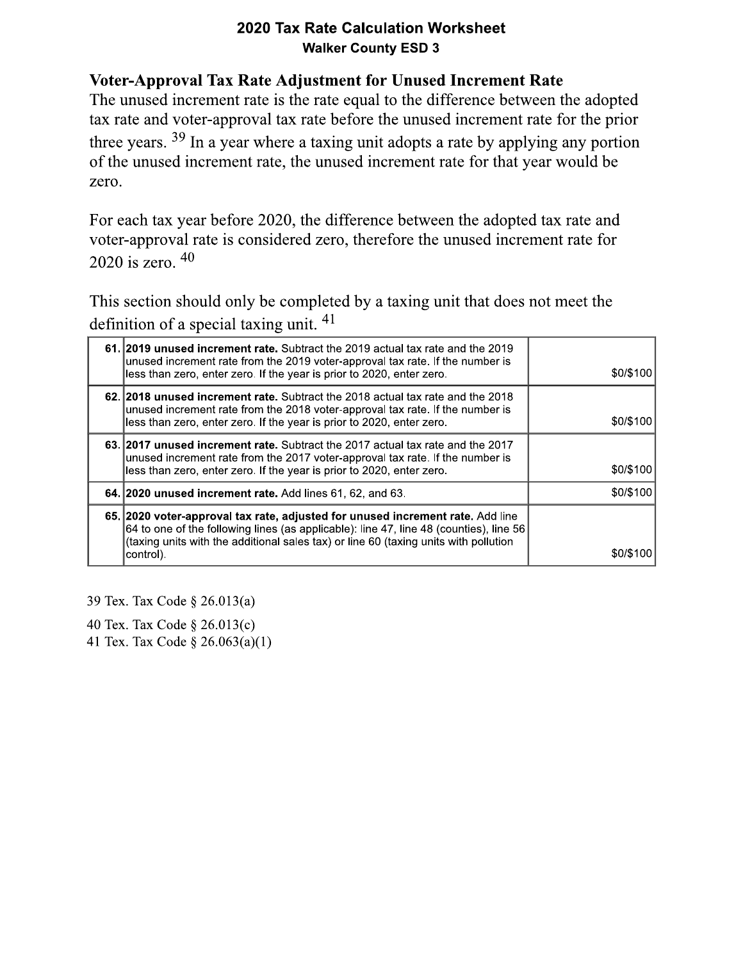**2020 Tax Rate Calculation Worksheet**<br> **Walker County ESD 3**<br> **Woter-Approval Tax Rate Adjustment for Unused Increment Rate**<br>
The unused increment rate is the rate equal to the difference between the adopted<br>
tax rate and

2020 is zero.  $40$ 

This section should only be completed by a taxing unit that does not meet the definition of a special taxing unit.  $41$ 

| 61. 2019 unused increment rate. Subtract the 2019 actual tax rate and the 2019<br>unused increment rate from the 2019 voter-approval tax rate. If the number is<br>less than zero, enter zero. If the year is prior to 2020, enter zero.                                         | \$0/\$100 |
|----------------------------------------------------------------------------------------------------------------------------------------------------------------------------------------------------------------------------------------------------------------------------------|-----------|
| 62. 2018 unused increment rate. Subtract the 2018 actual tax rate and the 2018<br>unused increment rate from the 2018 voter-approval tax rate. If the number is<br>less than zero, enter zero. If the year is prior to 2020, enter zero.                                         | \$0/\$100 |
| 63. 2017 unused increment rate. Subtract the 2017 actual tax rate and the 2017<br>unused increment rate from the 2017 voter-approval tax rate. If the number is<br>less than zero, enter zero. If the year is prior to 2020, enter zero.                                         | \$0/\$100 |
| 64. 2020 unused increment rate. Add lines 61, 62, and 63.                                                                                                                                                                                                                        | \$0/\$100 |
| 65. 2020 voter-approval tax rate, adjusted for unused increment rate. Add line<br>$64$ to one of the following lines (as applicable): line 47, line 48 (counties), line 56<br>(taxing units with the additional sales tax) or line 60 (taxing units with pollution<br> control). | \$0/\$100 |

39 Tex. Tax Code  $\S$  26.013(a)

40 Tex. Tax Code  $\S 26.013(c)$ 

41 Tex. Tax Code  $\S 26.063(a)(1)$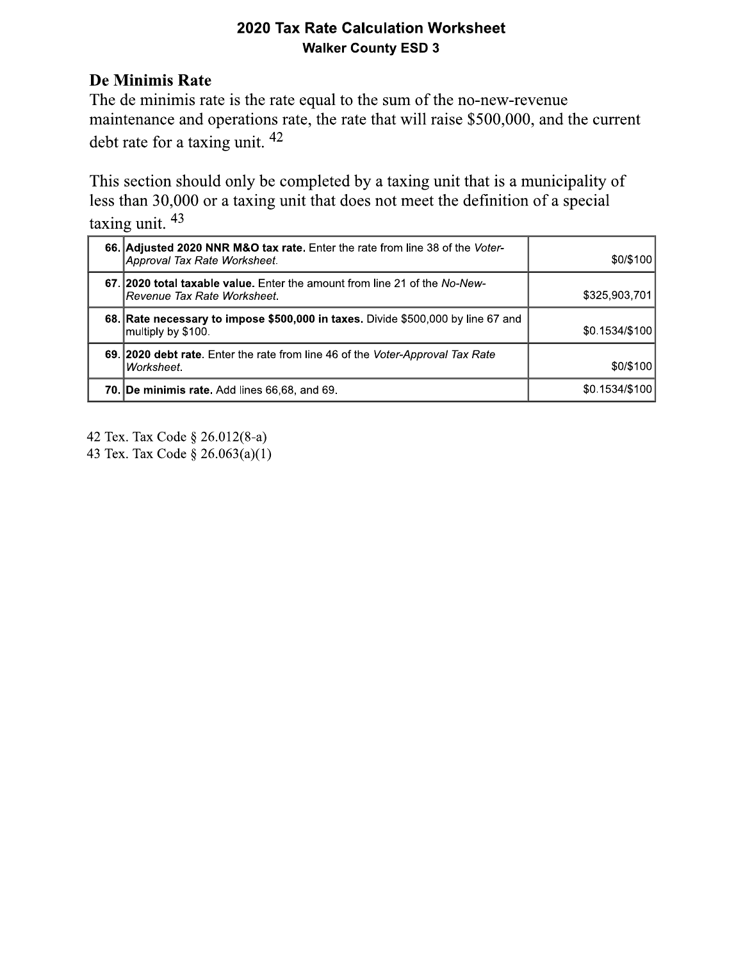| 2020 Tax Rate Calculation Worksheet<br><b>Walker County ESD 3</b>                                                                                                                                                                                                                                                                                                                                                          |                |
|----------------------------------------------------------------------------------------------------------------------------------------------------------------------------------------------------------------------------------------------------------------------------------------------------------------------------------------------------------------------------------------------------------------------------|----------------|
| <b>De Minimis Rate</b><br>The de minimis rate is the rate equal to the sum of the no-new-revenue<br>maintenance and operations rate, the rate that will raise \$500,000, and the current<br>debt rate for a taxing unit. $42$<br>This section should only be completed by a taxing unit that is a municipality of<br>less than 30,000 or a taxing unit that does not meet the definition of a special<br>taxing unit. $43$ |                |
| 66. Adjusted 2020 NNR M&O tax rate. Enter the rate from line 38 of the Voter-<br>Approval Tax Rate Worksheet.                                                                                                                                                                                                                                                                                                              | \$0/\$100      |
| 67. 2020 total taxable value. Enter the amount from line 21 of the No-New-<br>Revenue Tax Rate Worksheet.                                                                                                                                                                                                                                                                                                                  | \$325,903,701  |
|                                                                                                                                                                                                                                                                                                                                                                                                                            |                |
| 68. Rate necessary to impose \$500,000 in taxes. Divide \$500,000 by line 67 and<br>multiply by \$100.                                                                                                                                                                                                                                                                                                                     | \$0.1534/\$100 |
| 69. 2020 debt rate. Enter the rate from line 46 of the Voter-Approval Tax Rate<br>Worksheet.                                                                                                                                                                                                                                                                                                                               | \$0/\$100      |

42 Tex. Tax Code  $\S 26.012(8-a)$ 

43 Tex. Tax Code  $\S 26.063(a)(1)$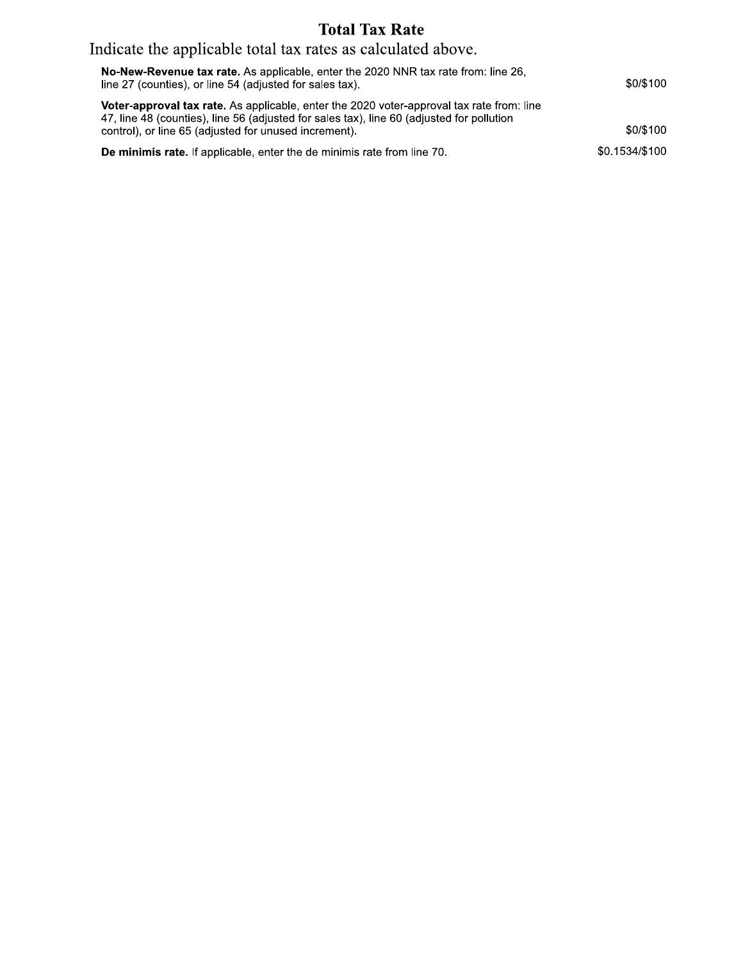## **Total Tax Rate**

## Indicate the applicable total tax rates as calculated above.

|                | Indicate the applicable total tax rates as calculated above.                                                                                                                                                                                           |
|----------------|--------------------------------------------------------------------------------------------------------------------------------------------------------------------------------------------------------------------------------------------------------|
| \$0/\$100      | No-New-Revenue tax rate. As applicable, enter the 2020 NNR tax rate from: line 26,<br>line 27 (counties), or line 54 (adjusted for sales tax).                                                                                                         |
| \$0/\$100      | <b>Voter-approval tax rate.</b> As applicable, enter the 2020 voter-approval tax rate from: line<br>47, line 48 (counties), line 56 (adjusted for sales tax), line 60 (adjusted for pollution<br>control), or line 65 (adjusted for unused increment). |
| \$0.1534/\$100 | <b>De minimis rate.</b> If applicable, enter the de minimis rate from line 70.                                                                                                                                                                         |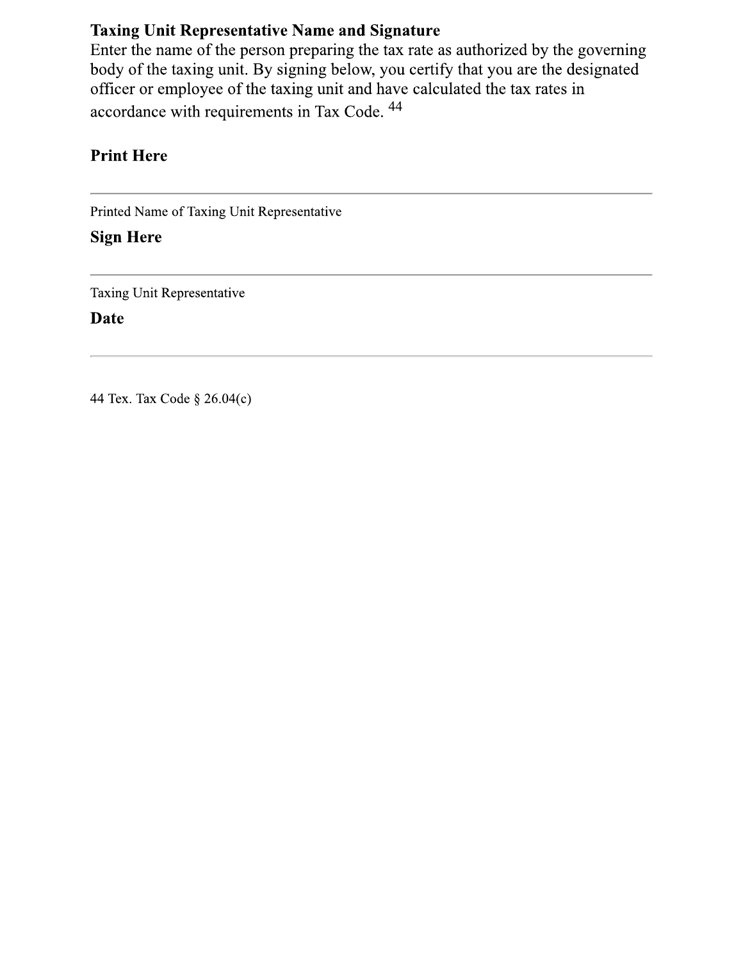## **Taxing Unit Representative Name and Signature**

Enter the name of the person preparing the tax rate as authorized by the governing body of the taxing unit. By signing below, you certify that you are the designated officer or employee of the taxing unit and have calculated the tax rates in accordance with requirements in Tax Code. <sup>44</sup>

## **Print Here**

Printed Name of Taxing Unit Representative

**Sign Here** 

Taxing Unit Representative

**Date** 

44 Tex. Tax Code § 26.04(c)